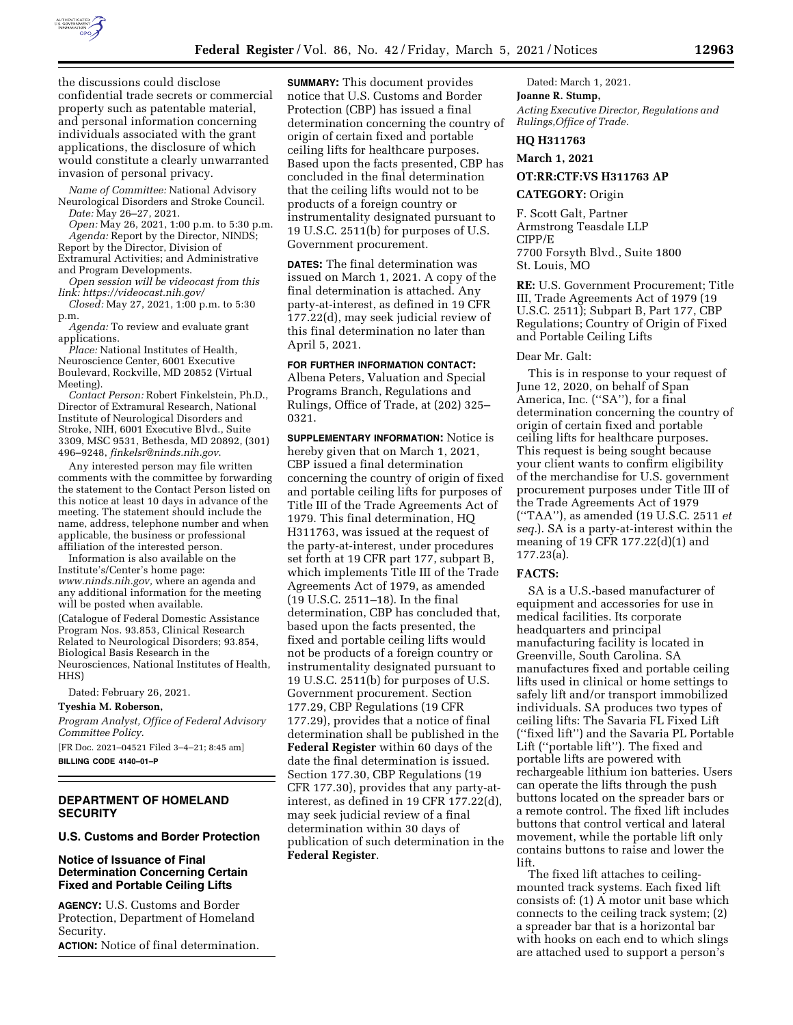

the discussions could disclose confidential trade secrets or commercial property such as patentable material, and personal information concerning individuals associated with the grant applications, the disclosure of which would constitute a clearly unwarranted invasion of personal privacy.

*Name of Committee:* National Advisory Neurological Disorders and Stroke Council. *Date:* May 26–27, 2021.

*Open:* May 26, 2021, 1:00 p.m. to 5:30 p.m.

*Agenda:* Report by the Director, NINDS; Report by the Director, Division of Extramural Activities; and Administrative and Program Developments.

*Open session will be videocast from this link: <https://videocast.nih.gov/>* 

*Closed:* May 27, 2021, 1:00 p.m. to 5:30 p.m.

*Agenda:* To review and evaluate grant applications.

*Place:* National Institutes of Health, Neuroscience Center, 6001 Executive Boulevard, Rockville, MD 20852 (Virtual Meeting).

*Contact Person:* Robert Finkelstein, Ph.D., Director of Extramural Research, National Institute of Neurological Disorders and Stroke, NIH, 6001 Executive Blvd., Suite 3309, MSC 9531, Bethesda, MD 20892, (301) 496–9248, *[finkelsr@ninds.nih.gov](mailto:finkelsr@ninds.nih.gov)*.

Any interested person may file written comments with the committee by forwarding the statement to the Contact Person listed on this notice at least 10 days in advance of the meeting. The statement should include the name, address, telephone number and when applicable, the business or professional affiliation of the interested person.

Information is also available on the Institute's/Center's home page: *[www.ninds.nih.gov,](http://www.ninds.nih.gov)* where an agenda and any additional information for the meeting will be posted when available.

(Catalogue of Federal Domestic Assistance Program Nos. 93.853, Clinical Research Related to Neurological Disorders; 93.854, Biological Basis Research in the Neurosciences, National Institutes of Health, HHS)

Dated: February 26, 2021.

#### **Tyeshia M. Roberson,**

*Program Analyst, Office of Federal Advisory Committee Policy.* 

[FR Doc. 2021–04521 Filed 3–4–21; 8:45 am]

**BILLING CODE 4140–01–P** 

# **DEPARTMENT OF HOMELAND SECURITY**

## **U.S. Customs and Border Protection**

## **Notice of Issuance of Final Determination Concerning Certain Fixed and Portable Ceiling Lifts**

**AGENCY:** U.S. Customs and Border Protection, Department of Homeland Security.

**ACTION:** Notice of final determination.

**SUMMARY:** This document provides notice that U.S. Customs and Border Protection (CBP) has issued a final determination concerning the country of origin of certain fixed and portable ceiling lifts for healthcare purposes. Based upon the facts presented, CBP has concluded in the final determination that the ceiling lifts would not to be products of a foreign country or instrumentality designated pursuant to 19 U.S.C. 2511(b) for purposes of U.S. Government procurement.

**DATES:** The final determination was issued on March 1, 2021. A copy of the final determination is attached. Any party-at-interest, as defined in 19 CFR 177.22(d), may seek judicial review of this final determination no later than April 5, 2021.

## **FOR FURTHER INFORMATION CONTACT:**

Albena Peters, Valuation and Special Programs Branch, Regulations and Rulings, Office of Trade, at (202) 325– 0321.

**SUPPLEMENTARY INFORMATION:** Notice is hereby given that on March 1, 2021, CBP issued a final determination concerning the country of origin of fixed and portable ceiling lifts for purposes of Title III of the Trade Agreements Act of 1979. This final determination, HQ H311763, was issued at the request of the party-at-interest, under procedures set forth at 19 CFR part 177, subpart B, which implements Title III of the Trade Agreements Act of 1979, as amended (19 U.S.C. 2511–18). In the final determination, CBP has concluded that, based upon the facts presented, the fixed and portable ceiling lifts would not be products of a foreign country or instrumentality designated pursuant to 19 U.S.C. 2511(b) for purposes of U.S. Government procurement. Section 177.29, CBP Regulations (19 CFR 177.29), provides that a notice of final determination shall be published in the **Federal Register** within 60 days of the date the final determination is issued. Section 177.30, CBP Regulations (19 CFR 177.30), provides that any party-atinterest, as defined in 19 CFR 177.22(d), may seek judicial review of a final determination within 30 days of publication of such determination in the **Federal Register**.

Dated: March 1, 2021.

**Joanne R. Stump,**  *Acting Executive Director, Regulations and Rulings,Office of Trade.* 

## **HQ H311763**

**March 1, 2021** 

# **OT:RR:CTF:VS H311763 AP**

### **CATEGORY:** Origin

F. Scott Galt, Partner Armstrong Teasdale LLP CIPP/E 7700 Forsyth Blvd., Suite 1800 St. Louis, MO

**RE:** U.S. Government Procurement; Title III, Trade Agreements Act of 1979 (19 U.S.C. 2511); Subpart B, Part 177, CBP Regulations; Country of Origin of Fixed and Portable Ceiling Lifts

#### Dear Mr. Galt:

This is in response to your request of June 12, 2020, on behalf of Span America, Inc. (''SA''), for a final determination concerning the country of origin of certain fixed and portable ceiling lifts for healthcare purposes. This request is being sought because your client wants to confirm eligibility of the merchandise for U.S. government procurement purposes under Title III of the Trade Agreements Act of 1979 (''TAA''), as amended (19 U.S.C. 2511 *et seq.*). SA is a party-at-interest within the meaning of 19 CFR 177.22(d)(1) and 177.23(a).

## **FACTS:**

SA is a U.S.-based manufacturer of equipment and accessories for use in medical facilities. Its corporate headquarters and principal manufacturing facility is located in Greenville, South Carolina. SA manufactures fixed and portable ceiling lifts used in clinical or home settings to safely lift and/or transport immobilized individuals. SA produces two types of ceiling lifts: The Savaria FL Fixed Lift (''fixed lift'') and the Savaria PL Portable Lift (''portable lift''). The fixed and portable lifts are powered with rechargeable lithium ion batteries. Users can operate the lifts through the push buttons located on the spreader bars or a remote control. The fixed lift includes buttons that control vertical and lateral movement, while the portable lift only contains buttons to raise and lower the lift.

The fixed lift attaches to ceilingmounted track systems. Each fixed lift consists of: (1) A motor unit base which connects to the ceiling track system; (2) a spreader bar that is a horizontal bar with hooks on each end to which slings are attached used to support a person's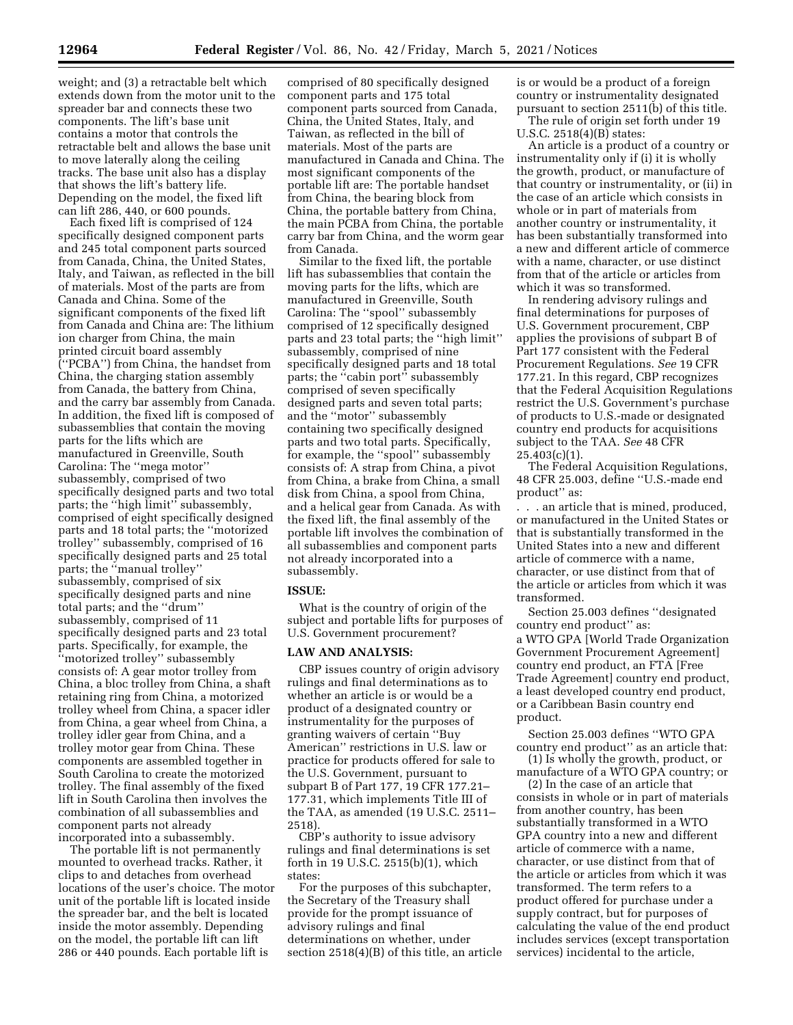weight; and (3) a retractable belt which extends down from the motor unit to the spreader bar and connects these two components. The lift's base unit contains a motor that controls the retractable belt and allows the base unit to move laterally along the ceiling tracks. The base unit also has a display that shows the lift's battery life. Depending on the model, the fixed lift can lift 286, 440, or 600 pounds.

Each fixed lift is comprised of 124 specifically designed component parts and 245 total component parts sourced from Canada, China, the United States, Italy, and Taiwan, as reflected in the bill of materials. Most of the parts are from Canada and China. Some of the significant components of the fixed lift from Canada and China are: The lithium ion charger from China, the main printed circuit board assembly (''PCBA'') from China, the handset from China, the charging station assembly from Canada, the battery from China, and the carry bar assembly from Canada. In addition, the fixed lift is composed of subassemblies that contain the moving parts for the lifts which are manufactured in Greenville, South Carolina: The ''mega motor'' subassembly, comprised of two specifically designed parts and two total parts; the "high limit" subassembly, comprised of eight specifically designed parts and 18 total parts; the ''motorized trolley'' subassembly, comprised of 16 specifically designed parts and 25 total parts; the ''manual trolley'' subassembly, comprised of six specifically designed parts and nine total parts; and the ''drum'' subassembly, comprised of 11 specifically designed parts and 23 total parts. Specifically, for example, the ''motorized trolley'' subassembly consists of: A gear motor trolley from China, a bloc trolley from China, a shaft retaining ring from China, a motorized trolley wheel from China, a spacer idler from China, a gear wheel from China, a trolley idler gear from China, and a trolley motor gear from China. These components are assembled together in South Carolina to create the motorized trolley. The final assembly of the fixed lift in South Carolina then involves the combination of all subassemblies and component parts not already incorporated into a subassembly.

The portable lift is not permanently mounted to overhead tracks. Rather, it clips to and detaches from overhead locations of the user's choice. The motor unit of the portable lift is located inside the spreader bar, and the belt is located inside the motor assembly. Depending on the model, the portable lift can lift 286 or 440 pounds. Each portable lift is

comprised of 80 specifically designed component parts and 175 total component parts sourced from Canada, China, the United States, Italy, and Taiwan, as reflected in the bill of materials. Most of the parts are manufactured in Canada and China. The most significant components of the portable lift are: The portable handset from China, the bearing block from China, the portable battery from China, the main PCBA from China, the portable carry bar from China, and the worm gear from Canada.

Similar to the fixed lift, the portable lift has subassemblies that contain the moving parts for the lifts, which are manufactured in Greenville, South Carolina: The ''spool'' subassembly comprised of 12 specifically designed parts and 23 total parts; the ''high limit'' subassembly, comprised of nine specifically designed parts and 18 total parts; the ''cabin port'' subassembly comprised of seven specifically designed parts and seven total parts; and the ''motor'' subassembly containing two specifically designed parts and two total parts. Specifically, for example, the ''spool'' subassembly consists of: A strap from China, a pivot from China, a brake from China, a small disk from China, a spool from China, and a helical gear from Canada. As with the fixed lift, the final assembly of the portable lift involves the combination of all subassemblies and component parts not already incorporated into a subassembly.

### **ISSUE:**

What is the country of origin of the subject and portable lifts for purposes of U.S. Government procurement?

#### **LAW AND ANALYSIS:**

CBP issues country of origin advisory rulings and final determinations as to whether an article is or would be a product of a designated country or instrumentality for the purposes of granting waivers of certain ''Buy American'' restrictions in U.S. law or practice for products offered for sale to the U.S. Government, pursuant to subpart B of Part 177, 19 CFR 177.21– 177.31, which implements Title III of the TAA, as amended (19 U.S.C. 2511– 2518).

CBP's authority to issue advisory rulings and final determinations is set forth in 19 U.S.C. 2515(b)(1), which states:

For the purposes of this subchapter, the Secretary of the Treasury shall provide for the prompt issuance of advisory rulings and final determinations on whether, under section 2518(4)(B) of this title, an article is or would be a product of a foreign country or instrumentality designated pursuant to section 2511(b) of this title.

The rule of origin set forth under 19 U.S.C. 2518(4)(B) states:

An article is a product of a country or instrumentality only if (i) it is wholly the growth, product, or manufacture of that country or instrumentality, or (ii) in the case of an article which consists in whole or in part of materials from another country or instrumentality, it has been substantially transformed into a new and different article of commerce with a name, character, or use distinct from that of the article or articles from which it was so transformed.

In rendering advisory rulings and final determinations for purposes of U.S. Government procurement, CBP applies the provisions of subpart B of Part 177 consistent with the Federal Procurement Regulations. *See* 19 CFR 177.21. In this regard, CBP recognizes that the Federal Acquisition Regulations restrict the U.S. Government's purchase of products to U.S.-made or designated country end products for acquisitions subject to the TAA. *See* 48 CFR 25.403(c)(1).

The Federal Acquisition Regulations, 48 CFR 25.003, define ''U.S.-made end product'' as:

. . . an article that is mined, produced, or manufactured in the United States or that is substantially transformed in the United States into a new and different article of commerce with a name, character, or use distinct from that of the article or articles from which it was transformed.

Section 25.003 defines ''designated country end product'' as: a WTO GPA [World Trade Organization Government Procurement Agreement] country end product, an FTA [Free Trade Agreement] country end product, a least developed country end product, or a Caribbean Basin country end product.

Section 25.003 defines ''WTO GPA country end product'' as an article that:

(1) Is wholly the growth, product, or manufacture of a WTO GPA country; or

(2) In the case of an article that consists in whole or in part of materials from another country, has been substantially transformed in a WTO GPA country into a new and different article of commerce with a name, character, or use distinct from that of the article or articles from which it was transformed. The term refers to a product offered for purchase under a supply contract, but for purposes of calculating the value of the end product includes services (except transportation services) incidental to the article,